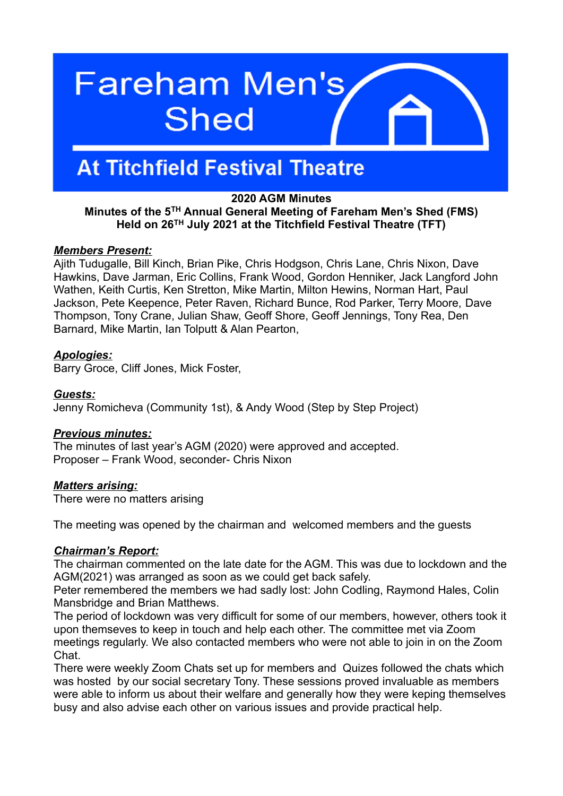# **Fareham Men's Shed**

# **At Titchfield Festival Theatre**

# **2020 AGM Minutes**

# **Minutes of the 5TH Annual General Meeting of Fareham Men's Shed (FMS) Held on 26TH July 2021 at the Titchfield Festival Theatre (TFT)**

#### *Members Present:*

Ajith Tudugalle, Bill Kinch, Brian Pike, Chris Hodgson, Chris Lane, Chris Nixon, Dave Hawkins, Dave Jarman, Eric Collins, Frank Wood, Gordon Henniker, Jack Langford John Wathen, Keith Curtis, Ken Stretton, Mike Martin, Milton Hewins, Norman Hart, Paul Jackson, Pete Keepence, Peter Raven, Richard Bunce, Rod Parker, Terry Moore, Dave Thompson, Tony Crane, Julian Shaw, Geoff Shore, Geoff Jennings, Tony Rea, Den Barnard, Mike Martin, Ian Tolputt & Alan Pearton,

# *Apologies:*

Barry Groce, Cliff Jones, Mick Foster,

# *Guests:*

Jenny Romicheva (Community 1st), & Andy Wood (Step by Step Project)

#### *Previous minutes:*

The minutes of last year's AGM (2020) were approved and accepted. Proposer – Frank Wood, seconder- Chris Nixon

#### *Matters arising:*

There were no matters arising

The meeting was opened by the chairman and welcomed members and the guests

#### *Chairman's Report :*

The chairman commented on the late date for the AGM. This was due to lockdown and the AGM(2021) was arranged as soon as we could get back safely.

Peter remembered the members we had sadly lost: John Codling, Raymond Hales, Colin Mansbridge and Brian Matthews.

The period of lockdown was very difficult for some of our members, however, others took it upon themseves to keep in touch and help each other. The committee met via Zoom meetings regularly. We also contacted members who were not able to join in on the Zoom Chat.

There were weekly Zoom Chats set up for members and Quizes followed the chats which was hosted by our social secretary Tony. These sessions proved invaluable as members were able to inform us about their welfare and generally how they were keping themselves busy and also advise each other on various issues and provide practical help.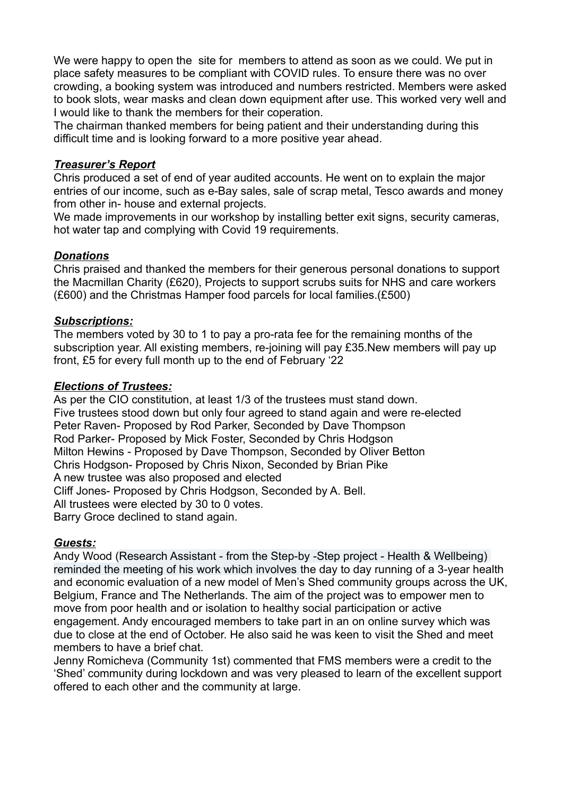We were happy to open the site for members to attend as soon as we could. We put in place safety measures to be compliant with COVID rules. To ensure there was no over crowding, a booking system was introduced and numbers restricted. Members were asked to book slots, wear masks and clean down equipment after use. This worked very well and I would like to thank the members for their coperation.

The chairman thanked members for being patient and their understanding during this difficult time and is looking forward to a more positive year ahead.

#### *Treasurer's Report*

Chris produced a set of end of year audited accounts. He went on to explain the major entries of our income, such as e-Bay sales, sale of scrap metal, Tesco awards and money from other in- house and external projects.

We made improvements in our workshop by installing better exit signs, security cameras, hot water tap and complying with Covid 19 requirements.

#### *Donations*

Chris praised and thanked the members for their generous personal donations to support the Macmillan Charity (£620), Projects to support scrubs suits for NHS and care workers (£600) and the Christmas Hamper food parcels for local families.(£500)

# *Subscriptions:*

The members voted by 30 to 1 to pay a pro-rata fee for the remaining months of the subscription year. All existing members, re-joining will pay £35.New members will pay up front, £5 for every full month up to the end of February '22

#### *Elections of Trustees:*

As per the CIO constitution, at least 1/3 of the trustees must stand down. Five trustees stood down but only four agreed to stand again and were re-elected Peter Raven- Proposed by Rod Parker, Seconded by Dave Thompson Rod Parker- Proposed by Mick Foster, Seconded by Chris Hodgson Milton Hewins - Proposed by Dave Thompson, Seconded by Oliver Betton Chris Hodgson- Proposed by Chris Nixon, Seconded by Brian Pike A new trustee was also proposed and elected Cliff Jones- Proposed by Chris Hodgson, Seconded by A. Bell. All trustees were elected by 30 to 0 votes. Barry Groce declined to stand again.

#### *Guests:*

Andy Wood (Research Assistant - from the Step-by -Step project - Health & Wellbeing) reminded the meeting of his work which involves the day to day running of a 3-year health and economic evaluation of a new model of Men's Shed community groups across the UK, Belgium, France and The Netherlands. The aim of the project was to empower men to move from poor health and or isolation to healthy social participation or active engagement. Andy encouraged members to take part in an on online survey which was due to close at the end of October. He also said he was keen to visit the Shed and meet members to have a brief chat.

Jenny Romicheva (Community 1st) commented that FMS members were a credit to the 'Shed' community during lockdown and was very pleased to learn of the excellent support offered to each other and the community at large.